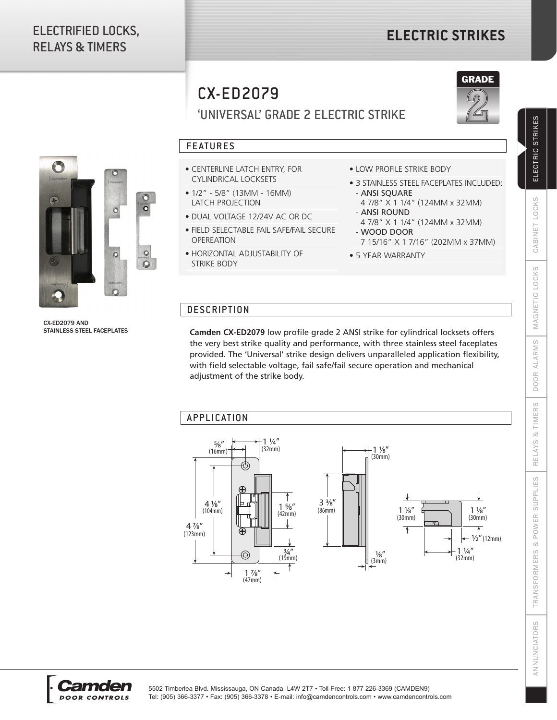## ELECTRIFIED LOCKS, RELAYS & TIMERS

# **ELECTRIC STRIKES**

# CX-ED2079

## 'UNIVERSAL' GRADE 2 ELECTRIC STRIKE





CX-ED2079 AND STAINLESS STEEL FACEPLATES

# FEATURES

- CENTERLINE LATCH ENTRY, FOR CYLINDRICAL LOCKSETS
- 1/2" 5/8" (13MM 16MM) LATCH PROJECTION
- DUAL VOLTAGE 12/24V AC OR DC
- FIELD SELECTABLE FAIL SAFE/FAIL SECURE OPEREATION
- HORIZONTAL ADJUSTABILITY OF STRIKE BODY
- LOW PROFILE STRIKE BODY
- 3 STAINLESS STEEL FACEPLATES INCLUDED: - ANSI SQUARE
- 4 7/8" X 1 1/4" (124MM x 32MM) - ANSI ROUND 4 7/8" X 1 1/4" (124MM x 32MM)
- WOOD DOOR
- 7 15/16" X 1 7/16" (202MM x 37MM)
- 5 YEAR WARRANTY

#### **DESCRIPTION**

**Camden CX-ED2079** low profile grade 2 ANSI strike for cylindrical locksets offers the very best strike quality and performance, with three stainless steel faceplates provided. The 'Universal' strike design delivers unparalleled application flexibility, with field selectable voltage, fail safe/fail secure operation and mechanical adjustment of the strike body.

#### **APPLICATION**





MAGNETIC LOCKS